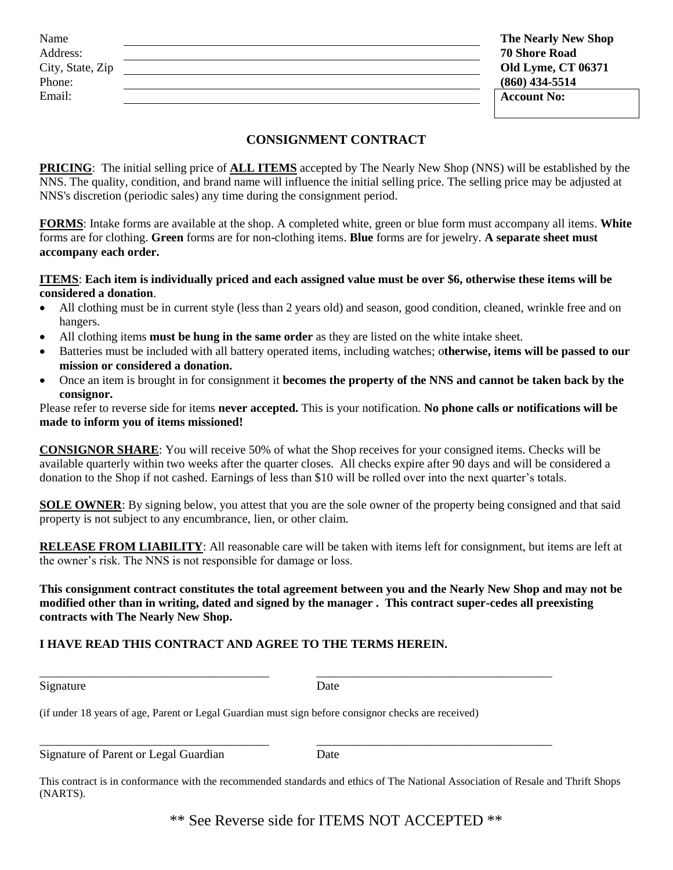| Name             | <b>The Nearly New Shop</b> |
|------------------|----------------------------|
| Address:         | <b>70 Shore Road</b>       |
| City, State, Zip | <b>Old Lyme, CT 06371</b>  |
| Phone:           | $(860)$ 434-5514           |
| Email:           | <b>Account No:</b>         |
|                  |                            |

## **CONSIGNMENT CONTRACT**

**PRICING**: The initial selling price of **ALL ITEMS** accepted by The Nearly New Shop (NNS) will be established by the NNS. The quality, condition, and brand name will influence the initial selling price. The selling price may be adjusted at NNS's discretion (periodic sales) any time during the consignment period.

**FORMS**: Intake forms are available at the shop. A completed white, green or blue form must accompany all items. **White**  forms are for clothing. **Green** forms are for non-clothing items. **Blue** forms are for jewelry. **A separate sheet must accompany each order.**

## **ITEMS**: **Each item is individually priced and each assigned value must be over \$6, otherwise these items will be considered a donation**.

- All clothing must be in current style (less than 2 years old) and season, good condition, cleaned, wrinkle free and on hangers.
- All clothing items **must be hung in the same order** as they are listed on the white intake sheet.
- Batteries must be included with all battery operated items, including watches; o**therwise, items will be passed to our mission or considered a donation.**
- Once an item is brought in for consignment it **becomes the property of the NNS and cannot be taken back by the consignor.**

Please refer to reverse side for items **never accepted.** This is your notification. **No phone calls or notifications will be made to inform you of items missioned!**

**CONSIGNOR SHARE**: You will receive 50% of what the Shop receives for your consigned items. Checks will be available quarterly within two weeks after the quarter closes. All checks expire after 90 days and will be considered a donation to the Shop if not cashed. Earnings of less than \$10 will be rolled over into the next quarter's totals.

**SOLE OWNER:** By signing below, you attest that you are the sole owner of the property being consigned and that said property is not subject to any encumbrance, lien, or other claim.

**RELEASE FROM LIABILITY**: All reasonable care will be taken with items left for consignment, but items are left at the owner's risk. The NNS is not responsible for damage or loss.

**This consignment contract constitutes the total agreement between you and the Nearly New Shop and may not be modified other than in writing, dated and signed by the manager . This contract super-cedes all preexisting contracts with The Nearly New Shop.**

## **I HAVE READ THIS CONTRACT AND AGREE TO THE TERMS HEREIN.**

| Signature | Date |
|-----------|------|
|           |      |

\_\_\_\_\_\_\_\_\_\_\_\_\_\_\_\_\_\_\_\_\_\_\_\_\_\_\_\_\_\_\_\_\_\_\_\_\_\_ \_\_\_\_\_\_\_\_\_\_\_\_\_\_\_\_\_\_\_\_\_\_\_\_\_\_\_\_\_\_\_\_\_\_\_\_\_\_\_

(if under 18 years of age, Parent or Legal Guardian must sign before consignor checks are received)

Signature of Parent or Legal Guardian Date

\_\_\_\_\_\_\_\_\_\_\_\_\_\_\_\_\_\_\_\_\_\_\_\_\_\_\_\_\_\_\_\_\_\_\_\_\_\_ \_\_\_\_\_\_\_\_\_\_\_\_\_\_\_\_\_\_\_\_\_\_\_\_\_\_\_\_\_\_\_\_\_\_\_\_\_\_\_

This contract is in conformance with the recommended standards and ethics of The National Association of Resale and Thrift Shops (NARTS).

\*\* See Reverse side for ITEMS NOT ACCEPTED \*\*